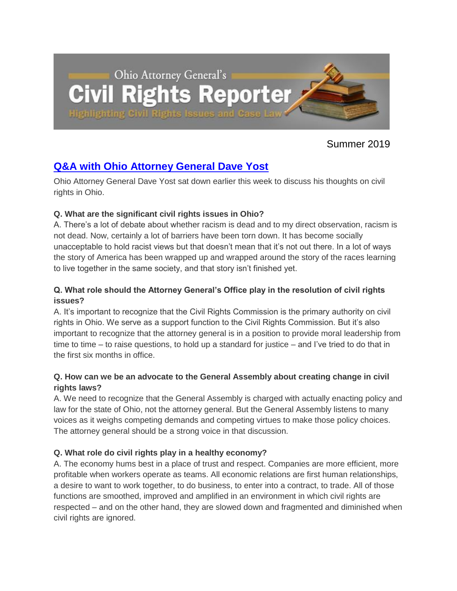

Summer 2019

# **[Q&A with Ohio Attorney General Dave Yost](https://www.ohioattorneygeneral.gov/Media/Newsletters/Civil-Rights-Reporter/August-2019/Q-A-with-Ohio-Attorney-General-Dave-Yost)**

Ohio Attorney General Dave Yost sat down earlier this week to discuss his thoughts on civil rights in Ohio.

#### **Q. What are the significant civil rights issues in Ohio?**

A. There's a lot of debate about whether racism is dead and to my direct observation, racism is not dead. Now, certainly a lot of barriers have been torn down. It has become socially unacceptable to hold racist views but that doesn't mean that it's not out there. In a lot of ways the story of America has been wrapped up and wrapped around the story of the races learning to live together in the same society, and that story isn't finished yet.

### **Q. What role should the Attorney General's Office play in the resolution of civil rights issues?**

A. It's important to recognize that the Civil Rights Commission is the primary authority on civil rights in Ohio. We serve as a support function to the Civil Rights Commission. But it's also important to recognize that the attorney general is in a position to provide moral leadership from time to time – to raise questions, to hold up a standard for justice – and I've tried to do that in the first six months in office.

#### **Q. How can we be an advocate to the General Assembly about creating change in civil rights laws?**

A. We need to recognize that the General Assembly is charged with actually enacting policy and law for the state of Ohio, not the attorney general. But the General Assembly listens to many voices as it weighs competing demands and competing virtues to make those policy choices. The attorney general should be a strong voice in that discussion.

#### **Q. What role do civil rights play in a healthy economy?**

A. The economy hums best in a place of trust and respect. Companies are more efficient, more profitable when workers operate as teams. All economic relations are first human relationships, a desire to want to work together, to do business, to enter into a contract, to trade. All of those functions are smoothed, improved and amplified in an environment in which civil rights are respected – and on the other hand, they are slowed down and fragmented and diminished when civil rights are ignored.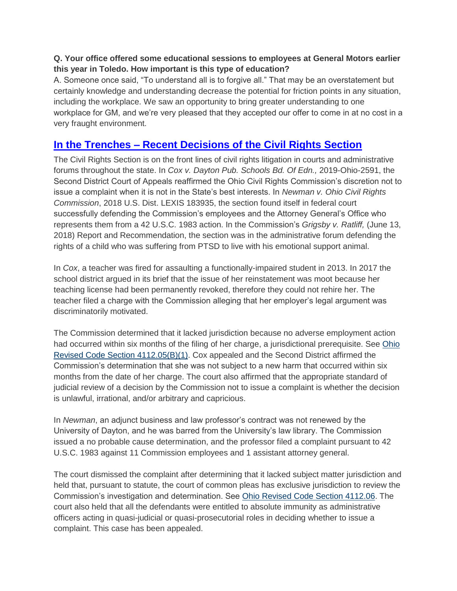### **Q. Your office offered some educational sessions to employees at General Motors earlier this year in Toledo. How important is this type of education?**

A. Someone once said, "To understand all is to forgive all." That may be an overstatement but certainly knowledge and understanding decrease the potential for friction points in any situation, including the workplace. We saw an opportunity to bring greater understanding to one workplace for GM, and we're very pleased that they accepted our offer to come in at no cost in a very fraught environment.

# **In the Trenches – [Recent Decisions of the Civil Rights Section](https://www.ohioattorneygeneral.gov/Media/Newsletters/Civil-Rights-Reporter/August-2019/In-the-Trenches-%E2%80%93-Recent-Decisions-of-the-Civil-Ri)**

The Civil Rights Section is on the front lines of civil rights litigation in courts and administrative forums throughout the state. In *Cox v. Dayton Pub. Schools Bd. Of Edn.,* 2019-Ohio-2591, the Second District Court of Appeals reaffirmed the Ohio Civil Rights Commission's discretion not to issue a complaint when it is not in the State's best interests. In *Newman v. Ohio Civil Rights Commission*, 2018 U.S. Dist. LEXIS 183935, the section found itself in federal court successfully defending the Commission's employees and the Attorney General's Office who represents them from a 42 U.S.C. 1983 action. In the Commission's *Grigsby v. Ratliff,* (June 13, 2018) Report and Recommendation, the section was in the administrative forum defending the rights of a child who was suffering from PTSD to live with his emotional support animal.

In *Cox*, a teacher was fired for assaulting a functionally-impaired student in 2013. In 2017 the school district argued in its brief that the issue of her reinstatement was moot because her teaching license had been permanently revoked, therefore they could not rehire her. The teacher filed a charge with the Commission alleging that her employer's legal argument was discriminatorily motivated.

The Commission determined that it lacked jurisdiction because no adverse employment action had occurred within six months of the filing of her charge, a jurisdictional prerequisite. See [Ohio](http://codes.ohio.gov/orc/4112.05)  [Revised Code Section 4112.05\(B\)\(1\).](http://codes.ohio.gov/orc/4112.05) Cox appealed and the Second District affirmed the Commission's determination that she was not subject to a new harm that occurred within six months from the date of her charge. The court also affirmed that the appropriate standard of judicial review of a decision by the Commission not to issue a complaint is whether the decision is unlawful, irrational, and/or arbitrary and capricious.

In *Newman*, an adjunct business and law professor's contract was not renewed by the University of Dayton, and he was barred from the University's law library. The Commission issued a no probable cause determination, and the professor filed a complaint pursuant to 42 U.S.C. 1983 against 11 Commission employees and 1 assistant attorney general.

The court dismissed the complaint after determining that it lacked subject matter jurisdiction and held that, pursuant to statute, the court of common pleas has exclusive jurisdiction to review the Commission's investigation and determination. See [Ohio Revised Code Section 4112.06.](http://codes.ohio.gov/orc/4112.06) The court also held that all the defendants were entitled to absolute immunity as administrative officers acting in quasi-judicial or quasi-prosecutorial roles in deciding whether to issue a complaint. This case has been appealed.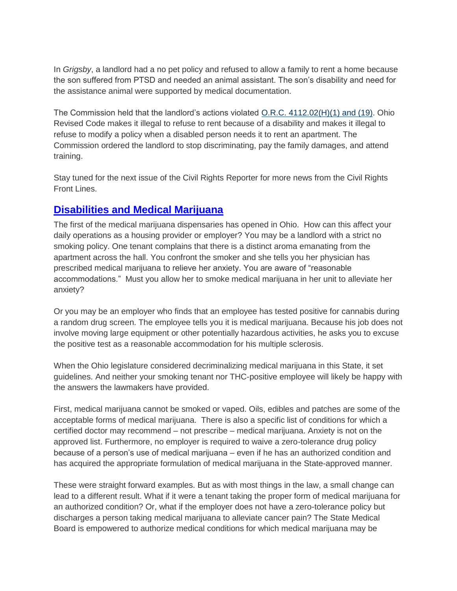In *Grigsby*, a landlord had a no pet policy and refused to allow a family to rent a home because the son suffered from PTSD and needed an animal assistant. The son's disability and need for the assistance animal were supported by medical documentation.

The Commission held that the landlord's actions violated [O.R.C. 4112.02\(H\)\(1\) and \(19\).](http://codes.ohio.gov/orc/4112.02) Ohio Revised Code makes it illegal to refuse to rent because of a disability and makes it illegal to refuse to modify a policy when a disabled person needs it to rent an apartment. The Commission ordered the landlord to stop discriminating, pay the family damages, and attend training.

Stay tuned for the next issue of the Civil Rights Reporter for more news from the Civil Rights Front Lines.

### **[Disabilities and Medical Marijuana](https://www.ohioattorneygeneral.gov/Media/Newsletters/Civil-Rights-Reporter/August-2019/Disabilities-and-Medical-Marijuana)**

The first of the medical marijuana dispensaries has opened in Ohio. How can this affect your daily operations as a housing provider or employer? You may be a landlord with a strict no smoking policy. One tenant complains that there is a distinct aroma emanating from the apartment across the hall. You confront the smoker and she tells you her physician has prescribed medical marijuana to relieve her anxiety. You are aware of "reasonable accommodations." Must you allow her to smoke medical marijuana in her unit to alleviate her anxiety?

Or you may be an employer who finds that an employee has tested positive for cannabis during a random drug screen. The employee tells you it is medical marijuana. Because his job does not involve moving large equipment or other potentially hazardous activities, he asks you to excuse the positive test as a reasonable accommodation for his multiple sclerosis.

When the Ohio legislature considered decriminalizing medical marijuana in this State, it set guidelines. And neither your smoking tenant nor THC-positive employee will likely be happy with the answers the lawmakers have provided.

First, medical marijuana cannot be smoked or vaped. Oils, edibles and patches are some of the acceptable forms of medical marijuana. There is also a specific list of conditions for which a certified doctor may recommend – not prescribe – medical marijuana. Anxiety is not on the approved list. Furthermore, no employer is required to waive a zero-tolerance drug policy because of a person's use of medical marijuana – even if he has an authorized condition and has acquired the appropriate formulation of medical marijuana in the State-approved manner.

These were straight forward examples. But as with most things in the law, a small change can lead to a different result. What if it were a tenant taking the proper form of medical marijuana for an authorized condition? Or, what if the employer does not have a zero-tolerance policy but discharges a person taking medical marijuana to alleviate cancer pain? The State Medical Board is empowered to authorize medical conditions for which medical marijuana may be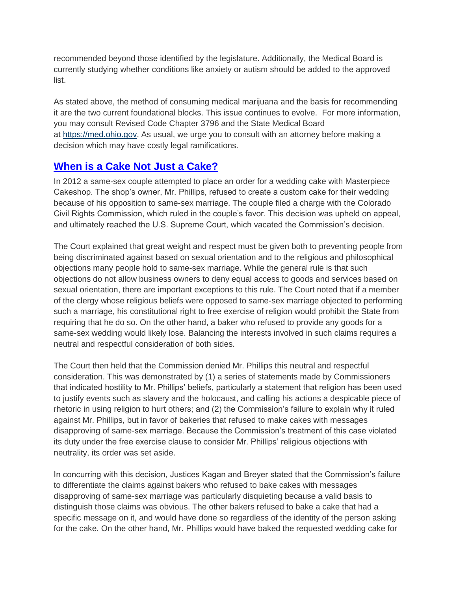recommended beyond those identified by the legislature. Additionally, the Medical Board is currently studying whether conditions like anxiety or autism should be added to the approved list.

As stated above, the method of consuming medical marijuana and the basis for recommending it are the two current foundational blocks. This issue continues to evolve. For more information, you may consult Revised Code Chapter 3796 and the State Medical Board at [https://med.ohio.gov.](https://med.ohio.gov/) As usual, we urge you to consult with an attorney before making a decision which may have costly legal ramifications.

### **[When is a Cake Not Just a Cake?](https://www.ohioattorneygeneral.gov/Media/Newsletters/Civil-Rights-Reporter/August-2019/When-is-a-Cake-Not-Just-a-Cake)**

In 2012 a same-sex couple attempted to place an order for a wedding cake with Masterpiece Cakeshop. The shop's owner, Mr. Phillips, refused to create a custom cake for their wedding because of his opposition to same-sex marriage. The couple filed a charge with the Colorado Civil Rights Commission, which ruled in the couple's favor. This decision was upheld on appeal, and ultimately reached the U.S. Supreme Court, which vacated the Commission's decision.

The Court explained that great weight and respect must be given both to preventing people from being discriminated against based on sexual orientation and to the religious and philosophical objections many people hold to same-sex marriage. While the general rule is that such objections do not allow business owners to deny equal access to goods and services based on sexual orientation, there are important exceptions to this rule. The Court noted that if a member of the clergy whose religious beliefs were opposed to same-sex marriage objected to performing such a marriage, his constitutional right to free exercise of religion would prohibit the State from requiring that he do so. On the other hand, a baker who refused to provide any goods for a same-sex wedding would likely lose. Balancing the interests involved in such claims requires a neutral and respectful consideration of both sides.

The Court then held that the Commission denied Mr. Phillips this neutral and respectful consideration. This was demonstrated by (1) a series of statements made by Commissioners that indicated hostility to Mr. Phillips' beliefs, particularly a statement that religion has been used to justify events such as slavery and the holocaust, and calling his actions a despicable piece of rhetoric in using religion to hurt others; and (2) the Commission's failure to explain why it ruled against Mr. Phillips, but in favor of bakeries that refused to make cakes with messages disapproving of same-sex marriage. Because the Commission's treatment of this case violated its duty under the free exercise clause to consider Mr. Phillips' religious objections with neutrality, its order was set aside.

In concurring with this decision, Justices Kagan and Breyer stated that the Commission's failure to differentiate the claims against bakers who refused to bake cakes with messages disapproving of same-sex marriage was particularly disquieting because a valid basis to distinguish those claims was obvious. The other bakers refused to bake a cake that had a specific message on it, and would have done so regardless of the identity of the person asking for the cake. On the other hand, Mr. Phillips would have baked the requested wedding cake for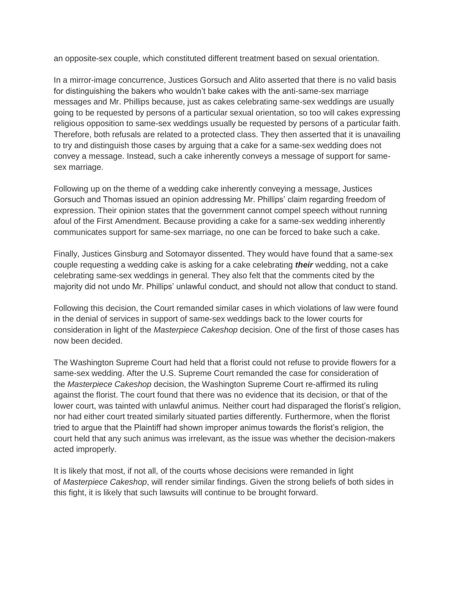an opposite-sex couple, which constituted different treatment based on sexual orientation.

In a mirror-image concurrence, Justices Gorsuch and Alito asserted that there is no valid basis for distinguishing the bakers who wouldn't bake cakes with the anti-same-sex marriage messages and Mr. Phillips because, just as cakes celebrating same-sex weddings are usually going to be requested by persons of a particular sexual orientation, so too will cakes expressing religious opposition to same-sex weddings usually be requested by persons of a particular faith. Therefore, both refusals are related to a protected class. They then asserted that it is unavailing to try and distinguish those cases by arguing that a cake for a same-sex wedding does not convey a message. Instead, such a cake inherently conveys a message of support for samesex marriage.

Following up on the theme of a wedding cake inherently conveying a message, Justices Gorsuch and Thomas issued an opinion addressing Mr. Phillips' claim regarding freedom of expression. Their opinion states that the government cannot compel speech without running afoul of the First Amendment. Because providing a cake for a same-sex wedding inherently communicates support for same-sex marriage, no one can be forced to bake such a cake.

Finally, Justices Ginsburg and Sotomayor dissented. They would have found that a same-sex couple requesting a wedding cake is asking for a cake celebrating *their* wedding, not a cake celebrating same-sex weddings in general. They also felt that the comments cited by the majority did not undo Mr. Phillips' unlawful conduct, and should not allow that conduct to stand.

Following this decision, the Court remanded similar cases in which violations of law were found in the denial of services in support of same-sex weddings back to the lower courts for consideration in light of the *Masterpiece Cakeshop* decision. One of the first of those cases has now been decided.

The Washington Supreme Court had held that a florist could not refuse to provide flowers for a same-sex wedding. After the U.S. Supreme Court remanded the case for consideration of the *Masterpiece Cakeshop* decision, the Washington Supreme Court re-affirmed its ruling against the florist. The court found that there was no evidence that its decision, or that of the lower court, was tainted with unlawful animus. Neither court had disparaged the florist's religion, nor had either court treated similarly situated parties differently. Furthermore, when the florist tried to argue that the Plaintiff had shown improper animus towards the florist's religion, the court held that any such animus was irrelevant, as the issue was whether the decision-makers acted improperly.

It is likely that most, if not all, of the courts whose decisions were remanded in light of *Masterpiece Cakeshop*, will render similar findings. Given the strong beliefs of both sides in this fight, it is likely that such lawsuits will continue to be brought forward.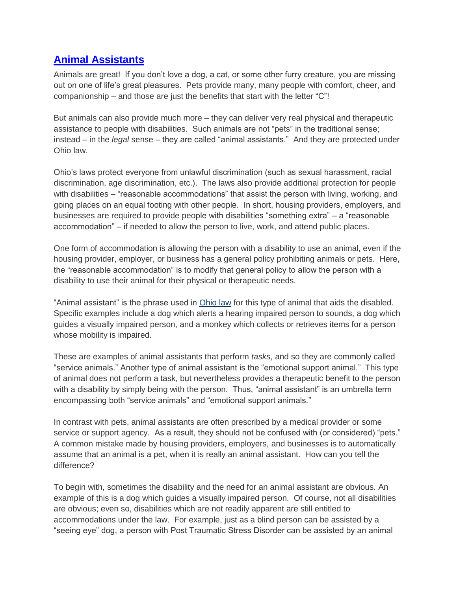# **[Animal Assistants](https://www.ohioattorneygeneral.gov/Media/Newsletters/Civil-Rights-Reporter/August-2019/Animal-Assistants)**

Animals are great! If you don't love a dog, a cat, or some other furry creature, you are missing out on one of life's great pleasures. Pets provide many, many people with comfort, cheer, and companionship – and those are just the benefits that start with the letter "C"!

But animals can also provide much more – they can deliver very real physical and therapeutic assistance to people with disabilities. Such animals are not "pets" in the traditional sense; instead – in the *legal* sense – they are called "animal assistants." And they are protected under Ohio law.

Ohio's laws protect everyone from unlawful discrimination (such as sexual harassment, racial discrimination, age discrimination, etc.). The laws also provide additional protection for people with disabilities – "reasonable accommodations" that assist the person with living, working, and going places on an equal footing with other people. In short, housing providers, employers, and businesses are required to provide people with disabilities "something extra" – a "reasonable accommodation" – if needed to allow the person to live, work, and attend public places.

One form of accommodation is allowing the person with a disability to use an animal, even if the housing provider, employer, or business has a general policy prohibiting animals or pets. Here, the "reasonable accommodation" is to modify that general policy to allow the person with a disability to use their animal for their physical or therapeutic needs.

"Animal assistant" is the phrase used in [Ohio law](http://codes.ohio.gov/oac/4112-5-02) for this type of animal that aids the disabled. Specific examples include a dog which alerts a hearing impaired person to sounds, a dog which guides a visually impaired person, and a monkey which collects or retrieves items for a person whose mobility is impaired.

These are examples of animal assistants that perform *tasks*, and so they are commonly called "service animals." Another type of animal assistant is the "emotional support animal." This type of animal does not perform a task, but nevertheless provides a therapeutic benefit to the person with a disability by simply being with the person. Thus, "animal assistant" is an umbrella term encompassing both "service animals" and "emotional support animals."

In contrast with pets, animal assistants are often prescribed by a medical provider or some service or support agency. As a result, they should not be confused with (or considered) "pets." A common mistake made by housing providers, employers, and businesses is to automatically assume that an animal is a pet, when it is really an animal assistant. How can you tell the difference?

To begin with, sometimes the disability and the need for an animal assistant are obvious. An example of this is a dog which guides a visually impaired person. Of course, not all disabilities are obvious; even so, disabilities which are not readily apparent are still entitled to accommodations under the law. For example, just as a blind person can be assisted by a "seeing eye" dog, a person with Post Traumatic Stress Disorder can be assisted by an animal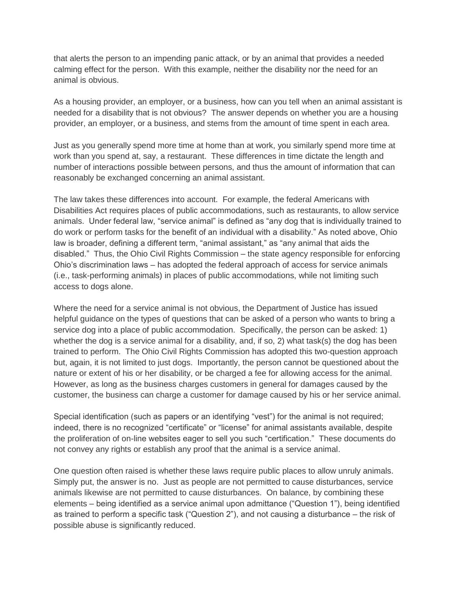that alerts the person to an impending panic attack, or by an animal that provides a needed calming effect for the person. With this example, neither the disability nor the need for an animal is obvious.

As a housing provider, an employer, or a business, how can you tell when an animal assistant is needed for a disability that is not obvious? The answer depends on whether you are a housing provider, an employer, or a business, and stems from the amount of time spent in each area.

Just as you generally spend more time at home than at work, you similarly spend more time at work than you spend at, say, a restaurant. These differences in time dictate the length and number of interactions possible between persons, and thus the amount of information that can reasonably be exchanged concerning an animal assistant.

The law takes these differences into account. For example, the federal Americans with Disabilities Act requires places of public accommodations, such as restaurants, to allow service animals. Under federal law, "service animal" is defined as "any dog that is individually trained to do work or perform tasks for the benefit of an individual with a disability." As noted above, Ohio law is broader, defining a different term, "animal assistant," as "any animal that aids the disabled." Thus, the Ohio Civil Rights Commission – the state agency responsible for enforcing Ohio's discrimination laws – has adopted the federal approach of access for service animals (i.e., task-performing animals) in places of public accommodations, while not limiting such access to dogs alone.

Where the need for a service animal is not obvious, the Department of Justice has issued helpful guidance on the types of questions that can be asked of a person who wants to bring a service dog into a place of public accommodation. Specifically, the person can be asked: 1) whether the dog is a service animal for a disability, and, if so, 2) what task(s) the dog has been trained to perform. The Ohio Civil Rights Commission has adopted this two-question approach but, again, it is not limited to just dogs. Importantly, the person cannot be questioned about the nature or extent of his or her disability, or be charged a fee for allowing access for the animal. However, as long as the business charges customers in general for damages caused by the customer, the business can charge a customer for damage caused by his or her service animal.

Special identification (such as papers or an identifying "vest") for the animal is not required; indeed, there is no recognized "certificate" or "license" for animal assistants available, despite the proliferation of on-line websites eager to sell you such "certification." These documents do not convey any rights or establish any proof that the animal is a service animal.

One question often raised is whether these laws require public places to allow unruly animals. Simply put, the answer is no. Just as people are not permitted to cause disturbances, service animals likewise are not permitted to cause disturbances. On balance, by combining these elements – being identified as a service animal upon admittance ("Question 1"), being identified as trained to perform a specific task ("Question 2"), and not causing a disturbance – the risk of possible abuse is significantly reduced.